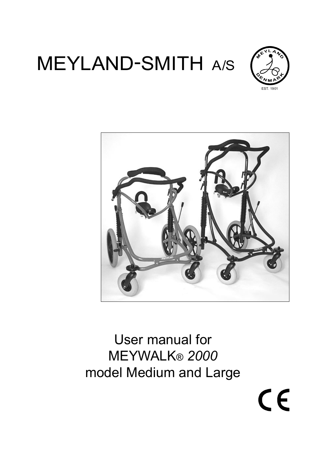# MEYLAND-SMITH A/S



CE



# User manual for MEYWALK<sup>®</sup> 2000 model Medium and Large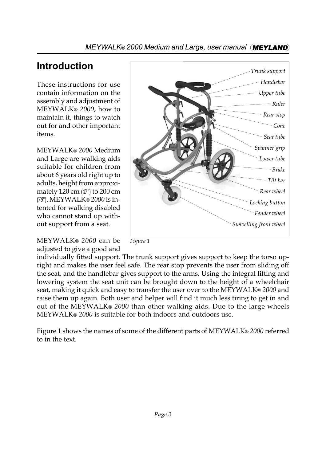# **Introduction**

These instructions for use contain information on the assembly and adjustment of MEYWALK<sup>®</sup> 2000, how to maintain it, things to watch out for and other important items.

MEYWALK<sup>®</sup> 2000 Medium and Large are walking aids suitable for children from about 6 years old right up to adults, height from approximately 120 cm (47") to 200 cm (78"). MEYWALK<sup>®</sup> 2000 is intented for walking disabled who cannot stand up without support from a seat.

MEYWALK<sup>®</sup> 2000 can be adjusted to give a good and





individually fitted support. The trunk support gives support to keep the torso upright and makes the user feel safe. The rear stop prevents the user from sliding off the seat, and the handlebar gives support to the arms. Using the integral lifting and lowering system the seat unit can be brought down to the height of a wheelchair seat, making it quick and easy to transfer the user over to the MEYWALK® 2000 and raise them up again. Both user and helper will find it much less tiring to get in and out of the MEYWALK® 2000 than other walking aids. Due to the large wheels MEYWALKÆ *2000* is suitable for both indoors and outdoors use.

Figure 1 shows the names of some of the different parts of MEYWALK® 2000 referred to in the text.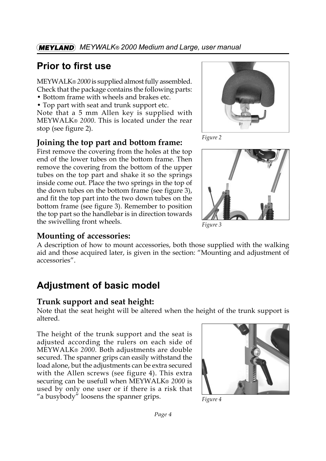# **Prior to first use**

MEYWALK® 2000 is supplied almost fully assembled. Check that the package contains the following parts:

- Bottom frame with wheels and brakes etc.
- Top part with seat and trunk support etc.

Note that a 5 mm Allen key is supplied with MEYWALKÆ *2000*. This is located under the rear stop (see figure 2).

# **Joining the top part and bottom frame:**

First remove the covering from the holes at the top end of the lower tubes on the bottom frame. Then remove the covering from the bottom of the upper tubes on the top part and shake it so the springs inside come out. Place the two springs in the top of the down tubes on the bottom frame (see figure 3), and fit the top part into the two down tubes on the bottom frame (see figure 3). Remember to position the top part so the handlebar is in direction towards the swivelling front wheels.







*Figure 3*

# **Mounting of accessories:**

A description of how to mount accessories, both those supplied with the walking aid and those acquired later, is given in the section: "Mounting and adjustment of accessories".

# **Adjustment of basic model**

# **Trunk support and seat height:**

Note that the seat height will be altered when the height of the trunk support is altered.

The height of the trunk support and the seat is adjusted according the rulers on each side of MEYWALKÆ *2000*. Both adjustments are double secured. The spanner grips can easily withstand the load alone, but the adjustments can be extra secured with the Allen screws (see figure 4). This extra securing can be usefull when MEYWALK<sup>®</sup> 2000 is used by only one user or if there is a risk that " a busybody" loosens the spanner grips.



*Figure 4*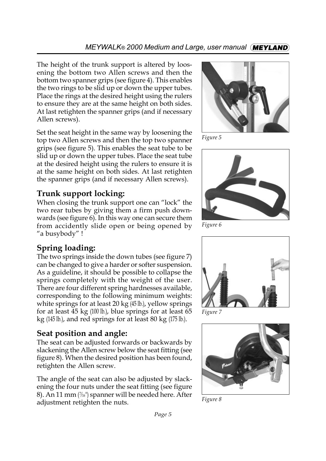The height of the trunk support is altered by loosening the bottom two Allen screws and then the bottom two spanner grips (see figure 4). This enables the two rings to be slid up or down the upper tubes. Place the rings at the desired height using the rulers to ensure they are at the same height on both sides. At last retighten the spanner grips (and if necessary Allen screws).

Set the seat height in the same way by loosening the top two Allen screws and then the top two spanner grips (see figure 5). This enables the seat tube to be slid up or down the upper tubes. Place the seat tube at the desired height using the rulers to ensure it is at the same height on both sides. At last retighten the spanner grips (and if necessary Allen screws).

# **Trunk support locking:**

When closing the trunk support one can "lock" the two rear tubes by giving them a firm push downwards (see figure 6). In this way one can secure them from accidently slide open or being opened by ìa busybodyî !

# **Spring loading:**

The two springs inside the down tubes (see figure 7) can be changed to give a harder or softer suspension. As a guideline, it should be possible to collapse the springs completely with the weight of the user. There are four different spring hardnesses available, corresponding to the following minimum weights: white springs for at least  $20 \text{ kg}$  (45 lb.), yellow springs for at least  $\overline{45}$  kg (100 lb.), blue springs for at least 65 kg (145 lb.), and red springs for at least 80 kg (175 lb.).

# **Seat position and angle:**

The seat can be adjusted forwards or backwards by slackening the Allen screw below the seat fitting (see figure 8). When the desired position has been found, retighten the Allen screw.

The angle of the seat can also be adjusted by slackening the four nuts under the seat fitting (see figure 8). An 11 mm  $\left(\frac{7}{16}\right)$  spanner will be needed here. After adjustment retighten the nuts.



*Figure 5*



*Figure 6*



*Figure 7*



*Figure 8*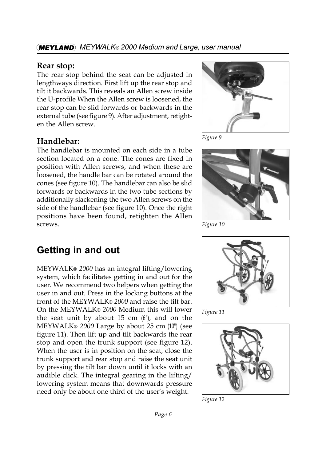#### *MEYWALKÆ 2000 Medium and Large, user manual*

#### **Rear stop:**

The rear stop behind the seat can be adjusted in lengthways direction. First lift up the rear stop and tilt it backwards. This reveals an Allen screw inside the U-profile When the Allen screw is loosened, the rear stop can be slid forwards or backwards in the external tube (see figure 9). After adjustment, retighten the Allen screw.

#### **Handlebar:**

The handlebar is mounted on each side in a tube section located on a cone. The cones are fixed in position with Allen screws, and when these are loosened, the handle bar can be rotated around the cones (see figure 10). The handlebar can also be slid forwards or backwards in the two tube sections by additionally slackening the two Allen screws on the side of the handlebar (see figure 10). Once the right positions have been found, retighten the Allen screws.



*Figure 9*



*Figure 10*

# **Getting in and out**

MEYWALKÆ *2000* has an integral lifting/lowering system, which facilitates getting in and out for the user. We recommend two helpers when getting the user in and out. Press in the locking buttons at the front of the MEYWALK® 2000 and raise the tilt bar. On the MEYWALK® 2000 Medium this will lower the seat unit by about 15 cm  $(6")$ , and on the MEYWALKÆ *2000* Large by about 25 cm (10") (see figure 11). Then lift up and tilt backwards the rear stop and open the trunk support (see figure 12). When the user is in position on the seat, close the trunk support and rear stop and raise the seat unit by pressing the tilt bar down until it locks with an audible click. The integral gearing in the lifting/ lowering system means that downwards pressure need only be about one third of the user's weight.



*Figure 11*



*Figure 12*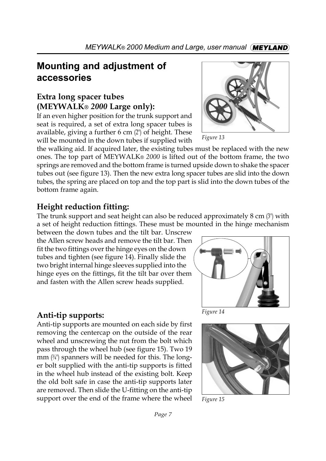# **Mounting and adjustment of accessories**

# **Extra long spacer tubes (MEYWALKÆ** *2000* **Large only):**

If an even higher position for the trunk support and seat is required, a set of extra long spacer tubes is available, giving a further 6 cm (2") of height. These will be mounted in the down tubes if supplied with

the walking aid. If acquired later, the existing tubes must be replaced with the new ones. The top part of MEYWALK<sup>®</sup> 2000 is lifted out of the bottom frame, the two springs are removed and the bottom frame is turned upside down to shake the spacer tubes out (see figure 13). Then the new extra long spacer tubes are slid into the down tubes, the spring are placed on top and the top part is slid into the down tubes of the bottom frame again.

# **Height reduction fitting:**

The trunk support and seat height can also be reduced approximately 8 cm (3") with a set of height reduction fittings. These must be mounted in the hinge mechanism

between the down tubes and the tilt bar. Unscrew the Allen screw heads and remove the tilt bar. Then fit the two fittings over the hinge eyes on the down tubes and tighten (see figure 14). Finally slide the two bright internal hinge sleeves supplied into the hinge eyes on the fittings, fit the tilt bar over them and fasten with the Allen screw heads supplied.

# **Anti-tip supports:**

Anti-tip supports are mounted on each side by first removing the centercap on the outside of the rear wheel and unscrewing the nut from the bolt which pass through the wheel hub (see figure 15). Two 19 mm  $(\frac{3}{4})$  spanners will be needed for this. The longer bolt supplied with the anti-tip supports is fitted in the wheel hub instead of the existing bolt. Keep the old bolt safe in case the anti-tip supports later are removed. Then slide the U-fitting on the anti-tip support over the end of the frame where the wheel



*Figure 15*

*Figure 14*



*Figure 13*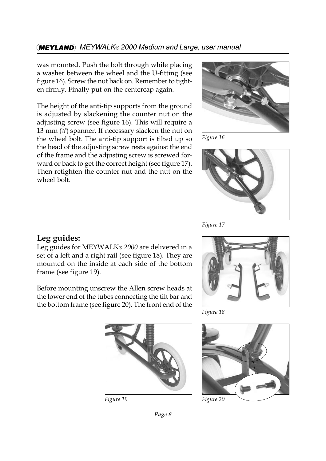#### **MEYLAND** MEYWALK® 2000 Medium and Large, user manual

was mounted. Push the bolt through while placing a washer between the wheel and the U-fitting (see figure 16). Screw the nut back on. Remember to tighten firmly. Finally put on the centercap again.

The height of the anti-tip supports from the ground is adjusted by slackening the counter nut on the adjusting screw (see figure 16). This will require a 13 mm  $(\frac{1}{2})^n$  spanner. If necessary slacken the nut on the wheel bolt. The anti-tip support is tilted up so the head of the adjusting screw rests against the end of the frame and the adjusting screw is screwed forward or back to get the correct height (see figure 17). Then retighten the counter nut and the nut on the wheel bolt.



*Figure 16*



*Figure 17*

#### **Leg guides:**

Leg guides for MEYWALK<sup>®</sup> 2000 are delivered in a set of a left and a right rail (see figure 18). They are mounted on the inside at each side of the bottom frame (see figure 19).

Before mounting unscrew the Allen screw heads at the lower end of the tubes connecting the tilt bar and the bottom frame (see figure 20). The front end of the



*Figure 18*



*Page 8*



*Figure 19 Figure 20*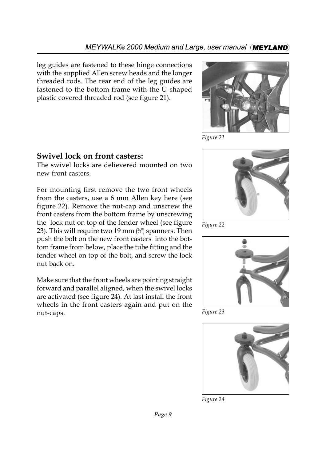leg guides are fastened to these hinge connections with the supplied Allen screw heads and the longer threaded rods. The rear end of the leg guides are fastened to the bottom frame with the U-shaped plastic covered threaded rod (see figure 21).



*Figure 21*

#### **Swivel lock on front casters:**

The swivel locks are delievered mounted on two new front casters.

For mounting first remove the two front wheels from the casters, use a 6 mm Allen key here (see figure 22). Remove the nut-cap and unscrew the front casters from the bottom frame by unscrewing the lock nut on top of the fender wheel (see figure 23). This will require two 19 mm  $(34)$ <sup>n</sup> spanners. Then push the bolt on the new front casters into the bottom frame from below, place the tube fitting and the fender wheel on top of the bolt, and screw the lock nut back on.

Make sure that the front wheels are pointing straight forward and parallel aligned, when the swivel locks are activated (see figure 24). At last install the front wheels in the front casters again and put on the nut-caps.



*Figure 22*



*Figure 23*



*Figure 24*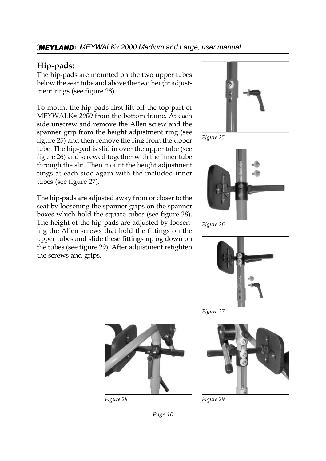#### *MEYWALKÆ 2000 Medium and Large, user manual*

#### **Hip-pads:**

The hip-pads are mounted on the two upper tubes below the seat tube and above the two height adjustment rings (see figure 28).

To mount the hip-pads first lift off the top part of MEYWALK® 2000 from the bottom frame. At each side unscrew and remove the Allen screw and the spanner grip from the height adjustment ring (see figure 25) and then remove the ring from the upper tube. The hip-pad is slid in over the upper tube (see figure 26) and screwed together with the inner tube through the slit. Then mount the height adjustment rings at each side again with the included inner tubes (see figure 27).

The hip-pads are adjusted away from or closer to the seat by loosening the spanner grips on the spanner boxes which hold the square tubes (see figure 28). The height of the hip-pads are adjusted by loosening the Allen screws that hold the fittings on the upper tubes and slide these fittings up og down on the tubes (see figure 29). After adjustment retighten the screws and grips.



*Figure 25*



*Figure 26*



*Figure 27*



*Figure 28 Figure 29*

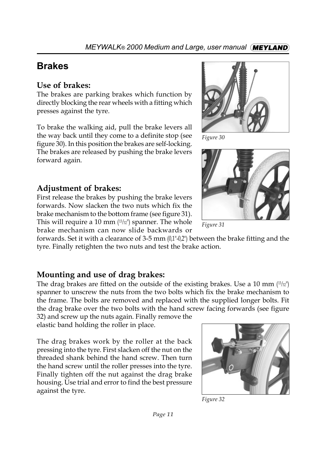# **Brakes**

#### **Use of brakes:**

The brakes are parking brakes which function by directly blocking the rear wheels with a fitting which presses against the tyre.

To brake the walking aid, pull the brake levers all the way back until they come to a definite stop (see figure 30). In this position the brakes are self-locking. The brakes are released by pushing the brake levers forward again.

# **Adjustment of brakes:**

First release the brakes by pushing the brake levers forwards. Now slacken the two nuts which fix the brake mechanism to the bottom frame (see figure 31). This will require a 10 mm  $(^{13}/_{32})^{\prime\prime}$  spanner. The whole brake mechanism can now slide backwards or

forwards. Set it with a clearance of 3-5 mm (0,1"-0,2") between the brake fitting and the tyre. Finally retighten the two nuts and test the brake action.

# **Mounting and use of drag brakes:**

The drag brakes are fitted on the outside of the existing brakes. Use a 10 mm  $(^{13}/_{22})$ spanner to unscrew the nuts from the two bolts which fix the brake mechanism to the frame. The bolts are removed and replaced with the supplied longer bolts. Fit the drag brake over the two bolts with the hand screw facing forwards (see figure

32) and screw up the nuts again. Finally remove the elastic band holding the roller in place.

The drag brakes work by the roller at the back pressing into the tyre. First slacken off the nut on the threaded shank behind the hand screw. Then turn the hand screw until the roller presses into the tyre. Finally tighten off the nut against the drag brake housing. Use trial and error to find the best pressure against the tyre.



*Figure 32*



*Figure 30*



*Figure 31*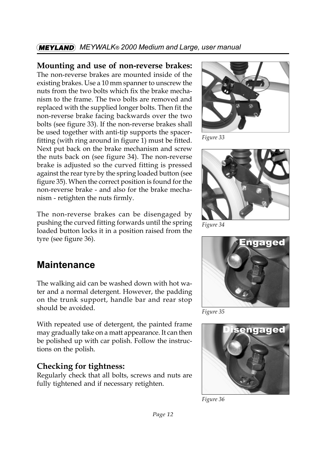# *MEYWALKÆ 2000 Medium and Large, user manual*

#### **Mounting and use of non-reverse brakes:**

The non-reverse brakes are mounted inside of the existing brakes. Use a 10 mm spanner to unscrew the nuts from the two bolts which fix the brake mechanism to the frame. The two bolts are removed and replaced with the supplied longer bolts. Then fit the non-reverse brake facing backwards over the two bolts (see figure 33). If the non-reverse brakes shall be used together with anti-tip supports the spacerfitting (with ring around in figure 1) must be fitted. Next put back on the brake mechanism and screw the nuts back on (see figure 34). The non-reverse brake is adjusted so the curved fitting is pressed against the rear tyre by the spring loaded button (see figure 35). When the correct position is found for the non-reverse brake - and also for the brake mechanism - retighten the nuts firmly.

The non-reverse brakes can be disengaged by pushing the curved fitting forwards until the spring loaded button locks it in a position raised from the tyre (see figure 36).

# **Maintenance**

The walking aid can be washed down with hot water and a normal detergent. However, the padding on the trunk support, handle bar and rear stop should be avoided.

With repeated use of detergent, the painted frame may gradually take on a matt appearance. It can then be polished up with car polish. Follow the instructions on the polish.

# **Checking for tightness:**

Regularly check that all bolts, screws and nuts are fully tightened and if necessary retighten.



*Figure 33*



*Figure 34*



*Figure 35*



*Figure 36*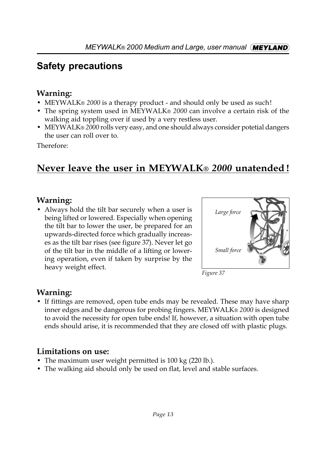# **Safety precautions**

# **Warning:**

- MEYWALK® 2000 is a therapy product and should only be used as such!
- The spring system used in MEYWALK® 2000 can involve a certain risk of the walking aid toppling over if used by a very restless user.
- MEYWALK® 2000 rolls very easy, and one should always consider potetial dangers the user can roll over to.

Therefore:

# **Never leave the user in MEYWALK®** 2000 unatended!

# **Warning:**

• Always hold the tilt bar securely when a user is being lifted or lowered. Especially when opening the tilt bar to lower the user, be prepared for an upwards-directed force which gradually increases as the tilt bar rises (see figure 37). Never let go of the tilt bar in the middle of a lifting or lowering operation, even if taken by surprise by the heavy weight effect.





# **Warning:**

• If fittings are removed, open tube ends may be revealed. These may have sharp inner edges and be dangerous for probing fingers. MEYWALK® 2000 is designed to avoid the necessity for open tube ends! If, however, a situation with open tube ends should arise, it is recommended that they are closed off with plastic plugs.

# **Limitations on use:**

- The maximum user weight permitted is 100 kg (220 lb.).
- The walking aid should only be used on flat, level and stable surfaces.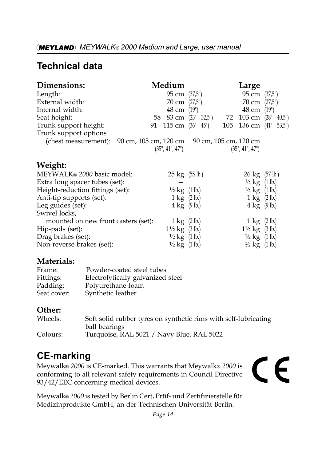# **Technical data**

| Dimensions:           | Medium                                                                     | Large                                      |       |
|-----------------------|----------------------------------------------------------------------------|--------------------------------------------|-------|
| Length:               | 95 cm (37,5")                                                              | 95 cm (37,5")                              |       |
| External width:       | 70 cm $(27.5^{\circ})$                                                     | 70 cm $(27,5")$                            |       |
| Internal width:       | 48 cm (19")                                                                | 48 cm                                      | (19") |
| Seat height:          | 58 - 83 cm $(23" - 32.5")$                                                 | 72 - 103 cm $(28" - 40.5")$                |       |
| Trunk support height: | 91 - 115 cm $(36" - 45")$                                                  | 105 - 136 cm $(41^{\circ} - 53.5^{\circ})$ |       |
| Trunk support options |                                                                            |                                            |       |
|                       | (chest measurement): $90 \text{ cm}$ , $105 \text{ cm}$ , $120 \text{ cm}$ | 90 cm, 105 cm, 120 cm                      |       |
|                       | (35", 41", 47")                                                            | (35", 41", 47")                            |       |
| Weight:               |                                                                            |                                            |       |

#### MEYWALK® 2000 basic model: 25 kg (55 lb.) Extra long spacer tubes (set): Height-reduction fittings (set):  $\frac{1}{2} \text{ kg}$  (1 lb.) Anti-tip supports (set):  $1 \text{ kg}$  (2 lb.) Leg guides (set):  $4 \text{ kg}$  (9 lb.) Swivel locks,

| mounted on new front casters (set): | $1 \text{ kg}$ (2 lb.)              | $1 \text{ kg}$ (2 lb.)              |
|-------------------------------------|-------------------------------------|-------------------------------------|
| Hip-pads (set):                     | $1\frac{1}{2}$ kg $(3 \text{ lb.})$ | $1\frac{1}{2}$ kg $(3 \text{ lb.})$ |
| Drag brakes (set):                  | $\frac{1}{2}$ kg $(1 \text{ lb.})$  | $\frac{1}{2}$ kg $(1 \text{ lb.})$  |
| Non-reverse brakes (set):           | $\frac{1}{2}$ kg $(1 \text{ lb.})$  | $\frac{1}{2}$ kg (1 lb.)            |

# **Materials:**

| Frame:      | Powder-coated steel tubes         |
|-------------|-----------------------------------|
| Fittings:   | Electrolytically galvanized steel |
| Padding:    | Polyurethane foam                 |
| Seat cover: | Synthetic leather                 |

# **Other:**

| Wheels:  | Soft solid rubber tyres on synthetic rims with self-lubricating |
|----------|-----------------------------------------------------------------|
|          | ball bearings                                                   |
| Colours: | Turquoise, RAL 5021 / Navy Blue, RAL 5022                       |

# **CE-marking**

Meywalk® 2000 is CE-marked. This warrants that Meywalk® 2000 is conforming to all relevant safety requirements in Council Directive 93/42/EEC concerning medical devices.

# CE

 $26 \text{ kg}$  (57 lb.)  $\frac{1}{2}$  kg  $(1 \text{ lb.})$  $\frac{1}{2}$  kg  $(1 \text{ lb.})$  $1 \text{ kg}$  (2 lb.)  $4 \text{ kg}$  (9 lb.)

Meywalk® 2000 is tested by Berlin Cert, Prüf- und Zertifizierstelle für Medizinprodukte GmbH, an der Technischen Universität Berlin.